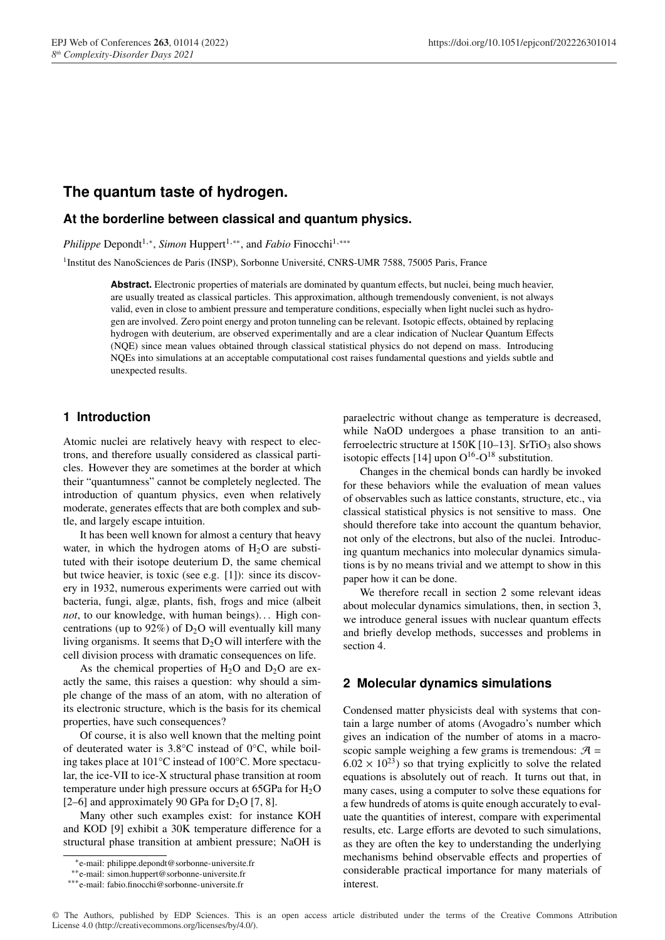# **The quantum taste of hydrogen.**

## **At the borderline between classical and quantum physics.**

*Philippe* Depondt<sup>1,\*</sup>, *Simon* Huppert<sup>1,\*\*</sup>, and *Fabio* Finocchi<sup>1,\*\*\*</sup>

<sup>1</sup>Institut des NanoSciences de Paris (INSP), Sorbonne Université, CNRS-UMR 7588, 75005 Paris, France

Abstract. Electronic properties of materials are dominated by quantum effects, but nuclei, being much heavier, are usually treated as classical particles. This approximation, although tremendously convenient, is not always valid, even in close to ambient pressure and temperature conditions, especially when light nuclei such as hydrogen are involved. Zero point energy and proton tunneling can be relevant. Isotopic effects, obtained by replacing hydrogen with deuterium, are observed experimentally and are a clear indication of Nuclear Quantum Effects (NQE) since mean values obtained through classical statistical physics do not depend on mass. Introducing NQEs into simulations at an acceptable computational cost raises fundamental questions and yields subtle and unexpected results.

## **1 Introduction**

Atomic nuclei are relatively heavy with respect to electrons, and therefore usually considered as classical particles. However they are sometimes at the border at which their "quantumness" cannot be completely neglected. The introduction of quantum physics, even when relatively moderate, generates effects that are both complex and subtle, and largely escape intuition.

It has been well known for almost a century that heavy water, in which the hydrogen atoms of  $H<sub>2</sub>O$  are substituted with their isotope deuterium D, the same chemical but twice heavier, is toxic (see e.g. [1]): since its discovery in 1932, numerous experiments were carried out with bacteria, fungi, algæ, plants, fish, frogs and mice (albeit *not*, to our knowledge, with human beings). . . High concentrations (up to 92%) of  $D_2O$  will eventually kill many living organisms. It seems that  $D_2O$  will interfere with the cell division process with dramatic consequences on life.

As the chemical properties of  $H_2O$  and  $D_2O$  are exactly the same, this raises a question: why should a simple change of the mass of an atom, with no alteration of its electronic structure, which is the basis for its chemical properties, have such consequences?

Of course, it is also well known that the melting point of deuterated water is 3.8°C instead of 0°C, while boiling takes place at 101°C instead of 100°C. More spectacular, the ice-VII to ice-X structural phase transition at room temperature under high pressure occurs at  $65GPa$  for  $H<sub>2</sub>O$ [2–6] and approximately 90 GPa for  $D_2O$  [7, 8].

Many other such examples exist: for instance KOH and KOD  $[9]$  exhibit a 30K temperature difference for a structural phase transition at ambient pressure; NaOH is paraelectric without change as temperature is decreased, while NaOD undergoes a phase transition to an antiferroelectric structure at  $150K$  [10–13]. SrTiO<sub>3</sub> also shows isotopic effects [14] upon  $O^{16}\text{-}O^{18}$  substitution.

Changes in the chemical bonds can hardly be invoked for these behaviors while the evaluation of mean values of observables such as lattice constants, structure, etc., via classical statistical physics is not sensitive to mass. One should therefore take into account the quantum behavior, not only of the electrons, but also of the nuclei. Introducing quantum mechanics into molecular dynamics simulations is by no means trivial and we attempt to show in this paper how it can be done.

We therefore recall in section 2 some relevant ideas about molecular dynamics simulations, then, in section 3, we introduce general issues with nuclear quantum effects and briefly develop methods, successes and problems in section 4.

### **2 Molecular dynamics simulations**

Condensed matter physicists deal with systems that contain a large number of atoms (Avogadro's number which gives an indication of the number of atoms in a macroscopic sample weighing a few grams is tremendous:  $A =$  $6.02 \times 10^{23}$ ) so that trying explicitly to solve the related equations is absolutely out of reach. It turns out that, in many cases, using a computer to solve these equations for a few hundreds of atoms is quite enough accurately to evaluate the quantities of interest, compare with experimental results, etc. Large efforts are devoted to such simulations, as they are often the key to understanding the underlying mechanisms behind observable effects and properties of considerable practical importance for many materials of interest.

<sup>⇤</sup>e-mail: philippe.depondt@sorbonne-universite.fr

<sup>⇤⇤</sup>e-mail: simon.huppert@sorbonne-universite.fr

<sup>⇤⇤⇤</sup>e-mail: fabio.finocchi@sorbonne-universite.fr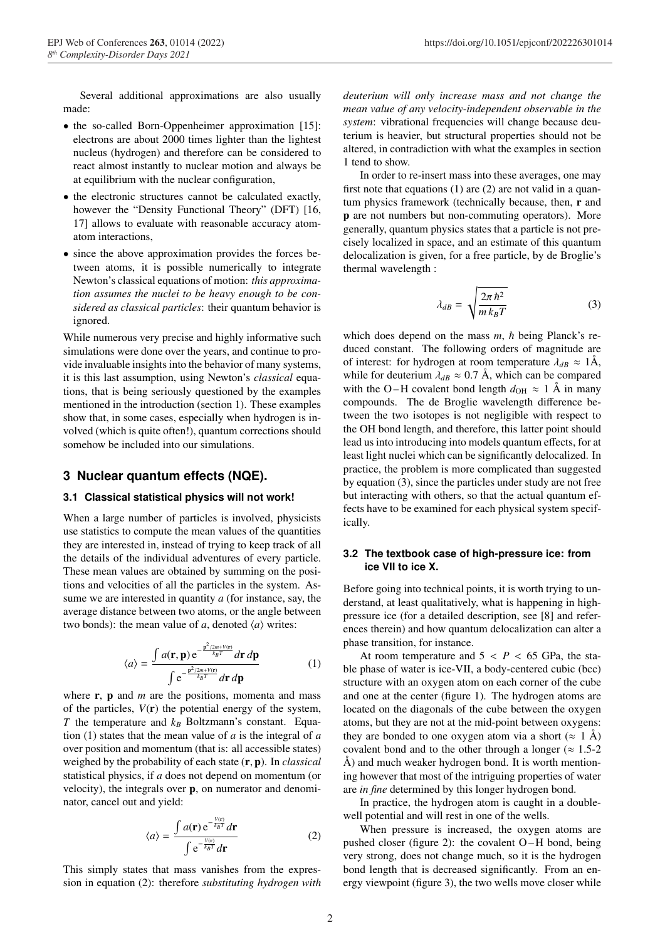Several additional approximations are also usually made:

- the so-called Born-Oppenheimer approximation [15]: electrons are about 2000 times lighter than the lightest nucleus (hydrogen) and therefore can be considered to react almost instantly to nuclear motion and always be at equilibrium with the nuclear configuration,
- the electronic structures cannot be calculated exactly, however the "Density Functional Theory" (DFT) [16, 17] allows to evaluate with reasonable accuracy atomatom interactions,
- since the above approximation provides the forces between atoms, it is possible numerically to integrate Newton's classical equations of motion: *this approximation assumes the nuclei to be heavy enough to be considered as classical particles*: their quantum behavior is ignored.

While numerous very precise and highly informative such simulations were done over the years, and continue to provide invaluable insights into the behavior of many systems, it is this last assumption, using Newton's *classical* equations, that is being seriously questioned by the examples mentioned in the introduction (section 1). These examples show that, in some cases, especially when hydrogen is involved (which is quite often!), quantum corrections should somehow be included into our simulations.

### **3 Nuclear quantum effects (NQE).**

#### **3.1 Classical statistical physics will not work!**

When a large number of particles is involved, physicists use statistics to compute the mean values of the quantities they are interested in, instead of trying to keep track of all the details of the individual adventures of every particle. These mean values are obtained by summing on the positions and velocities of all the particles in the system. Assume we are interested in quantity *a* (for instance, say, the average distance between two atoms, or the angle between two bonds): the mean value of *a*, denoted  $\langle a \rangle$  writes:

$$
\langle a \rangle = \frac{\int a(\mathbf{r}, \mathbf{p}) e^{-\frac{\mathbf{p}^2/2m + V(\mathbf{r})}{k_B T}} d\mathbf{r} d\mathbf{p}}{\int e^{-\frac{\mathbf{p}^2/2m + V(\mathbf{r})}{k_B T}} d\mathbf{r} d\mathbf{p}}
$$
(1)

where **r**, **p** and *m* are the positions, momenta and mass of the particles,  $V(\mathbf{r})$  the potential energy of the system, *T* the temperature and  $k_B$  Boltzmann's constant. Equation (1) states that the mean value of *a* is the integral of *a* over position and momentum (that is: all accessible states) weighed by the probability of each state (r, p). In *classical* statistical physics, if *a* does not depend on momentum (or velocity), the integrals over p, on numerator and denominator, cancel out and yield:

$$
\langle a \rangle = \frac{\int a(\mathbf{r}) e^{-\frac{V(\mathbf{r})}{k_B T}} d\mathbf{r}}{\int e^{-\frac{V(\mathbf{r})}{k_B T}} d\mathbf{r}}
$$
(2)

This simply states that mass vanishes from the expression in equation (2): therefore *substituting hydrogen with* *deuterium will only increase mass and not change the mean value of any velocity-independent observable in the system*: vibrational frequencies will change because deuterium is heavier, but structural properties should not be altered, in contradiction with what the examples in section 1 tend to show.

In order to re-insert mass into these averages, one may first note that equations (1) are (2) are not valid in a quantum physics framework (technically because, then,  $\bf{r}$  and p are not numbers but non-commuting operators). More generally, quantum physics states that a particle is not precisely localized in space, and an estimate of this quantum delocalization is given, for a free particle, by de Broglie's thermal wavelength :

$$
\lambda_{dB} = \sqrt{\frac{2\pi\hbar^2}{m k_B T}}
$$
 (3)

which does depend on the mass  $m$ ,  $\hbar$  being Planck's reduced constant. The following orders of magnitude are of interest: for hydrogen at room temperature  $\lambda_{dB} \approx 1$ Å, while for deuterium  $\lambda_{dB} \approx 0.7$  Å, which can be compared with the O–H covalent bond length  $d_{OH} \approx 1$  Å in many compounds. The de Broglie wavelength difference between the two isotopes is not negligible with respect to the OH bond length, and therefore, this latter point should lead us into introducing into models quantum effects, for at least light nuclei which can be significantly delocalized. In practice, the problem is more complicated than suggested by equation (3), since the particles under study are not free but interacting with others, so that the actual quantum effects have to be examined for each physical system specifically.

## **3.2 The textbook case of high-pressure ice: from ice VII to ice X.**

Before going into technical points, it is worth trying to understand, at least qualitatively, what is happening in highpressure ice (for a detailed description, see [8] and references therein) and how quantum delocalization can alter a phase transition, for instance.

At room temperature and  $5 < P < 65$  GPa, the stable phase of water is ice-VII, a body-centered cubic (bcc) structure with an oxygen atom on each corner of the cube and one at the center (figure 1). The hydrogen atoms are located on the diagonals of the cube between the oxygen atoms, but they are not at the mid-point between oxygens: they are bonded to one oxygen atom via a short ( $\approx 1$  Å) covalent bond and to the other through a longer ( $\approx 1.5$ -2 Å) and much weaker hydrogen bond. It is worth mentioning however that most of the intriguing properties of water are *in fine* determined by this longer hydrogen bond.

In practice, the hydrogen atom is caught in a doublewell potential and will rest in one of the wells.

When pressure is increased, the oxygen atoms are pushed closer (figure 2): the covalent O – H bond, being very strong, does not change much, so it is the hydrogen bond length that is decreased significantly. From an energy viewpoint (figure 3), the two wells move closer while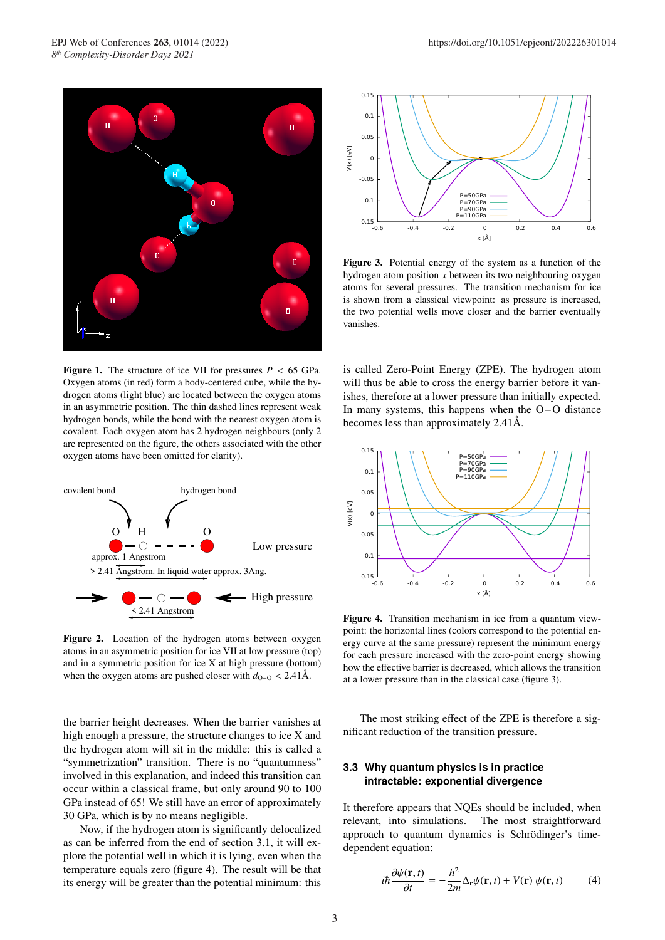

**Figure 1.** The structure of ice VII for pressures  $P < 65$  GPa. Oxygen atoms (in red) form a body-centered cube, while the hydrogen atoms (light blue) are located between the oxygen atoms in an asymmetric position. The thin dashed lines represent weak hydrogen bonds, while the bond with the nearest oxygen atom is covalent. Each oxygen atom has 2 hydrogen neighbours (only 2 are represented on the figure, the others associated with the other oxygen atoms have been omitted for clarity).



Figure 2. Location of the hydrogen atoms between oxygen atoms in an asymmetric position for ice VII at low pressure (top) and in a symmetric position for ice X at high pressure (bottom) when the oxygen atoms are pushed closer with  $d_{O-O} < 2.41$ Å.

the barrier height decreases. When the barrier vanishes at high enough a pressure, the structure changes to ice X and the hydrogen atom will sit in the middle: this is called a "symmetrization" transition. There is no "quantumness" involved in this explanation, and indeed this transition can occur within a classical frame, but only around 90 to 100 GPa instead of 65! We still have an error of approximately 30 GPa, which is by no means negligible.

Now, if the hydrogen atom is significantly delocalized as can be inferred from the end of section 3.1, it will explore the potential well in which it is lying, even when the temperature equals zero (figure 4). The result will be that its energy will be greater than the potential minimum: this



Figure 3. Potential energy of the system as a function of the hydrogen atom position *x* between its two neighbouring oxygen atoms for several pressures. The transition mechanism for ice is shown from a classical viewpoint: as pressure is increased, the two potential wells move closer and the barrier eventually vanishes.

is called Zero-Point Energy (ZPE). The hydrogen atom will thus be able to cross the energy barrier before it vanishes, therefore at a lower pressure than initially expected. In many systems, this happens when the  $O-O$  distance becomes less than approximately 2.41Å.



Figure 4. Transition mechanism in ice from a quantum viewpoint: the horizontal lines (colors correspond to the potential energy curve at the same pressure) represent the minimum energy for each pressure increased with the zero-point energy showing how the effective barrier is decreased, which allows the transition at a lower pressure than in the classical case (figure 3).

The most striking effect of the ZPE is therefore a significant reduction of the transition pressure.

## **3.3 Why quantum physics is in practice intractable: exponential divergence**

It therefore appears that NQEs should be included, when relevant, into simulations. The most straightforward approach to quantum dynamics is Schrödinger's timedependent equation:

$$
i\hbar \frac{\partial \psi(\mathbf{r},t)}{\partial t} = -\frac{\hbar^2}{2m} \Delta_{\mathbf{r}} \psi(\mathbf{r},t) + V(\mathbf{r}) \psi(\mathbf{r},t)
$$
(4)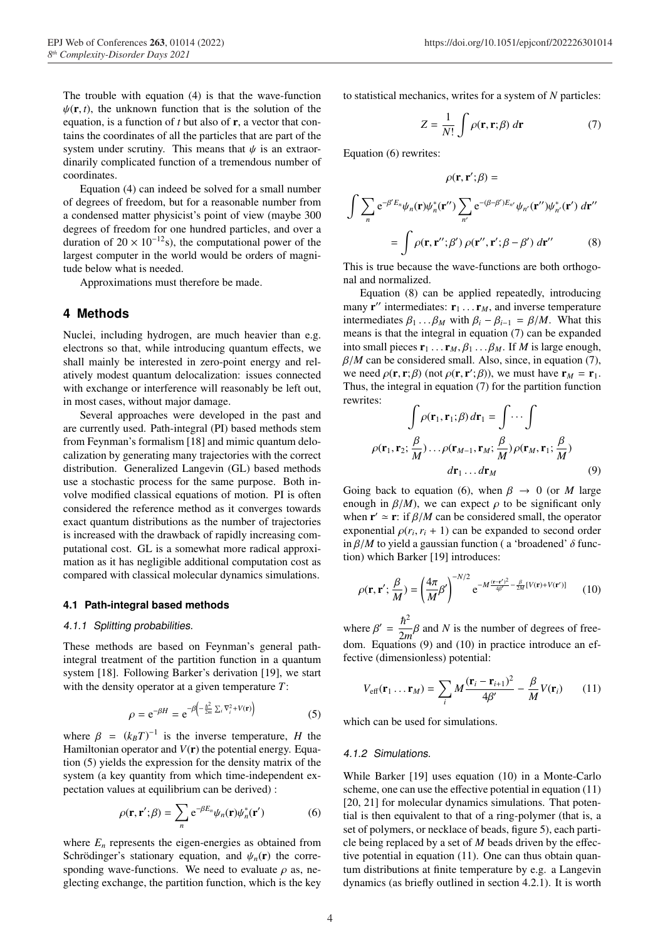The trouble with equation (4) is that the wave-function  $\psi(\mathbf{r}, t)$ , the unknown function that is the solution of the equation, is a function of *t* but also of r, a vector that contains the coordinates of all the particles that are part of the system under scrutiny. This means that  $\psi$  is an extraordinarily complicated function of a tremendous number of coordinates.

Equation (4) can indeed be solved for a small number of degrees of freedom, but for a reasonable number from a condensed matter physicist's point of view (maybe 300 degrees of freedom for one hundred particles, and over a duration of  $20 \times 10^{-12}$ s), the computational power of the largest computer in the world would be orders of magnitude below what is needed.

Approximations must therefore be made.

## **4 Methods**

Nuclei, including hydrogen, are much heavier than e.g. electrons so that, while introducing quantum effects, we shall mainly be interested in zero-point energy and relatively modest quantum delocalization: issues connected with exchange or interference will reasonably be left out. in most cases, without major damage.

Several approaches were developed in the past and are currently used. Path-integral (PI) based methods stem from Feynman's formalism [18] and mimic quantum delocalization by generating many trajectories with the correct distribution. Generalized Langevin (GL) based methods use a stochastic process for the same purpose. Both involve modified classical equations of motion. PI is often considered the reference method as it converges towards exact quantum distributions as the number of trajectories is increased with the drawback of rapidly increasing computational cost. GL is a somewhat more radical approximation as it has negligible additional computation cost as compared with classical molecular dynamics simulations.

#### **4.1 Path-integral based methods**

#### *4.1.1 Splitting probabilities.*

These methods are based on Feynman's general pathintegral treatment of the partition function in a quantum system [18]. Following Barker's derivation [19], we start with the density operator at a given temperature *T*:

$$
\rho = e^{-\beta H} = e^{-\beta \left(-\frac{\hbar^2}{2m} \sum_i \nabla_i^2 + V(\mathbf{r})\right)}
$$
(5)

where  $\beta = (k_B T)^{-1}$  is the inverse temperature, *H* the Hamiltonian operator and  $V(\mathbf{r})$  the potential energy. Equation (5) yields the expression for the density matrix of the system (a key quantity from which time-independent expectation values at equilibrium can be derived) :

$$
\rho(\mathbf{r}, \mathbf{r}'; \beta) = \sum_{n} e^{-\beta E_n} \psi_n(\mathbf{r}) \psi_n^*(\mathbf{r}')
$$
 (6)

where  $E_n$  represents the eigen-energies as obtained from Schrödinger's stationary equation, and  $\psi_n(\mathbf{r})$  the corresponding wave-functions. We need to evaluate  $\rho$  as, neglecting exchange, the partition function, which is the key to statistical mechanics, writes for a system of *N* particles:

$$
Z = \frac{1}{N!} \int \rho(\mathbf{r}, \mathbf{r}; \beta) \, d\mathbf{r}
$$
 (7)

Equation (6) rewrites:

$$
\rho(\mathbf{r}, \mathbf{r}'; \beta) =
$$

$$
\int \sum_{n} e^{-\beta' E_n} \psi_n(\mathbf{r}) \psi_n^*(\mathbf{r}'') \sum_{n'} e^{-(\beta - \beta') E_{n'}} \psi_{n'}(\mathbf{r}'') \psi_{n'}^*(\mathbf{r}') d\mathbf{r}''
$$

$$
= \int \rho(\mathbf{r}, \mathbf{r}''; \beta') \rho(\mathbf{r}'', \mathbf{r}'; \beta - \beta') d\mathbf{r}'' \qquad (8)
$$

This is true because the wave-functions are both orthogonal and normalized.

Equation (8) can be applied repeatedly, introducing many  $\mathbf{r}''$  intermediates:  $\mathbf{r}_1 \dots \mathbf{r}_M$ , and inverse temperature intermediates  $\beta_1 \dots \beta_M$  with  $\beta_i - \beta_{i-1} = \beta/M$ . What this means is that the integral in equation (7) can be expanded into small pieces  $\mathbf{r}_1 \dots \mathbf{r}_M$ ,  $\beta_1 \dots \beta_M$ . If *M* is large enough,  $\beta/M$  can be considered small. Also, since, in equation (7), we need  $\rho(\mathbf{r}, \mathbf{r}; \beta)$  (not  $\rho(\mathbf{r}, \mathbf{r}'; \beta)$ ), we must have  $\mathbf{r}_M = \mathbf{r}_1$ . Thus, the integral in equation (7) for the partition function rewrites:

$$
\int \rho(\mathbf{r}_1, \mathbf{r}_1; \beta) d\mathbf{r}_1 = \int \cdots \int
$$

$$
\rho(\mathbf{r}_1, \mathbf{r}_2; \frac{\beta}{M}) \cdots \rho(\mathbf{r}_{M-1}, \mathbf{r}_M; \frac{\beta}{M}) \rho(\mathbf{r}_M, \mathbf{r}_1; \frac{\beta}{M})
$$

$$
d\mathbf{r}_1 \cdots d\mathbf{r}_M
$$
(9)

Going back to equation (6), when  $\beta \to 0$  (or *M* large enough in  $\beta/M$ ), we can expect  $\rho$  to be significant only when  $\mathbf{r}' \simeq \mathbf{r}$ : if  $\beta/M$  can be considered small, the operator exponential  $\rho(r_i, r_i + 1)$  can be expanded to second order in  $\beta/M$  to yield a gaussian function (a 'broadened'  $\delta$  function) which Barker [19] introduces:

$$
\rho(\mathbf{r}, \mathbf{r}'; \frac{\beta}{M}) = \left(\frac{4\pi}{M}\beta'\right)^{-N/2} e^{-M\frac{(\mathbf{r} - \mathbf{r}')^2}{4\beta'} - \frac{\beta}{2M}[V(\mathbf{r}) + V(\mathbf{r}')]}\tag{10}
$$

where  $\beta' = \frac{\hbar^2}{2m}\beta$  and *N* is the number of degrees of freedom. Equations (9) and (10) in practice introduce an effective (dimensionless) potential:

$$
V_{\text{eff}}(\mathbf{r}_1 \dots \mathbf{r}_M) = \sum_i M \frac{(\mathbf{r}_i - \mathbf{r}_{i+1})^2}{4\beta'} - \frac{\beta}{M} V(\mathbf{r}_i)
$$
(11)

which can be used for simulations.

#### *4.1.2 Simulations.*

While Barker [19] uses equation (10) in a Monte-Carlo scheme, one can use the effective potential in equation  $(11)$ [20, 21] for molecular dynamics simulations. That potential is then equivalent to that of a ring-polymer (that is, a set of polymers, or necklace of beads, figure 5), each particle being replaced by a set of *M* beads driven by the effective potential in equation (11). One can thus obtain quantum distributions at finite temperature by e.g. a Langevin dynamics (as briefly outlined in section 4.2.1). It is worth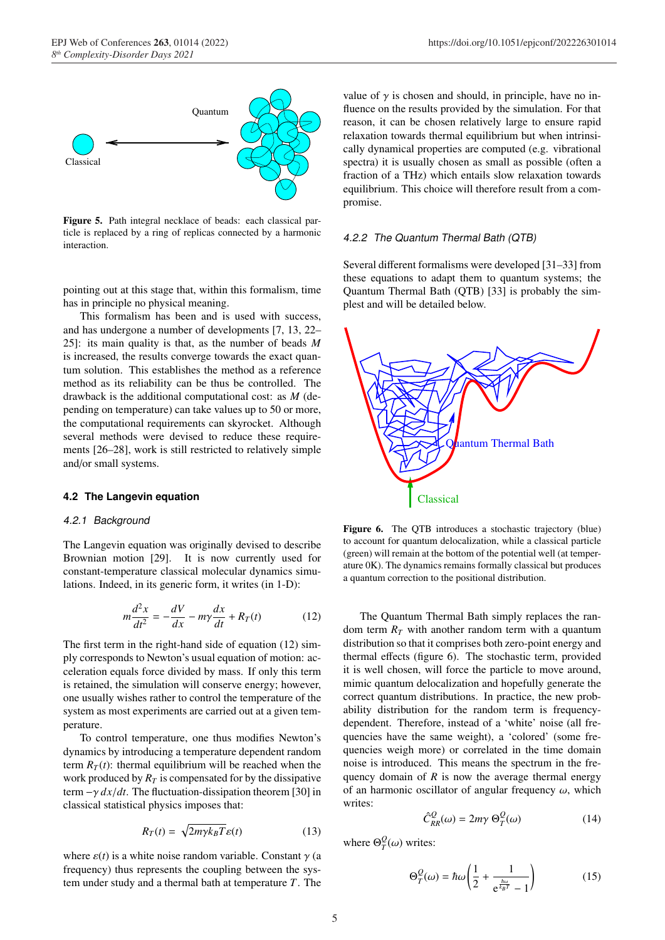

Figure 5. Path integral necklace of beads: each classical particle is replaced by a ring of replicas connected by a harmonic interaction.

pointing out at this stage that, within this formalism, time has in principle no physical meaning.

This formalism has been and is used with success, and has undergone a number of developments [7, 13, 22– 25]: its main quality is that, as the number of beads *M* is increased, the results converge towards the exact quantum solution. This establishes the method as a reference method as its reliability can be thus be controlled. The drawback is the additional computational cost: as *M* (depending on temperature) can take values up to 50 or more, the computational requirements can skyrocket. Although several methods were devised to reduce these requirements [26–28], work is still restricted to relatively simple and/or small systems.

#### **4.2 The Langevin equation**

#### *4.2.1 Background*

The Langevin equation was originally devised to describe Brownian motion [29]. It is now currently used for constant-temperature classical molecular dynamics simulations. Indeed, in its generic form, it writes (in 1-D):

$$
m\frac{d^2x}{dt^2} = -\frac{dV}{dx} - m\gamma\frac{dx}{dt} + R_T(t)
$$
 (12)

The first term in the right-hand side of equation (12) simply corresponds to Newton's usual equation of motion: acceleration equals force divided by mass. If only this term is retained, the simulation will conserve energy; however, one usually wishes rather to control the temperature of the system as most experiments are carried out at a given temperature.

To control temperature, one thus modifies Newton's dynamics by introducing a temperature dependent random term  $R_T(t)$ : thermal equilibrium will be reached when the work produced by  $R_T$  is compensated for by the dissipative term  $-\gamma dx/dt$ . The fluctuation-dissipation theorem [30] in classical statistical physics imposes that:

$$
R_T(t) = \sqrt{2m\gamma k_B T} \varepsilon(t) \tag{13}
$$

where  $\varepsilon(t)$  is a white noise random variable. Constant  $\gamma$  (a frequency) thus represents the coupling between the system under study and a thermal bath at temperature *T*. The

value of  $\gamma$  is chosen and should, in principle, have no influence on the results provided by the simulation. For that reason, it can be chosen relatively large to ensure rapid relaxation towards thermal equilibrium but when intrinsically dynamical properties are computed (e.g. vibrational spectra) it is usually chosen as small as possible (often a fraction of a THz) which entails slow relaxation towards equilibrium. This choice will therefore result from a compromise.

#### *4.2.2 The Quantum Thermal Bath (QTB)*

Several different formalisms were developed [31–33] from these equations to adapt them to quantum systems; the Quantum Thermal Bath (QTB) [33] is probably the simplest and will be detailed below.



Figure 6. The QTB introduces a stochastic trajectory (blue) to account for quantum delocalization, while a classical particle (green) will remain at the bottom of the potential well (at temperature 0K). The dynamics remains formally classical but produces a quantum correction to the positional distribution.

The Quantum Thermal Bath simply replaces the random term  $R_T$  with another random term with a quantum distribution so that it comprises both zero-point energy and thermal effects (figure 6). The stochastic term, provided it is well chosen, will force the particle to move around, mimic quantum delocalization and hopefully generate the correct quantum distributions. In practice, the new probability distribution for the random term is frequencydependent. Therefore, instead of a 'white' noise (all frequencies have the same weight), a 'colored' (some frequencies weigh more) or correlated in the time domain noise is introduced. This means the spectrum in the frequency domain of  $R$  is now the average thermal energy of an harmonic oscillator of angular frequency  $\omega$ , which writes:

$$
\hat{C}_{RR}^{Q}(\omega) = 2m\gamma \,\Theta_{T}^{Q}(\omega) \tag{14}
$$

where  $\Theta_T^Q(\omega)$  writes:

$$
\Theta_T^Q(\omega) = \hbar\omega \left(\frac{1}{2} + \frac{1}{e^{\frac{\hbar\omega}{k_B T}} - 1}\right) \tag{15}
$$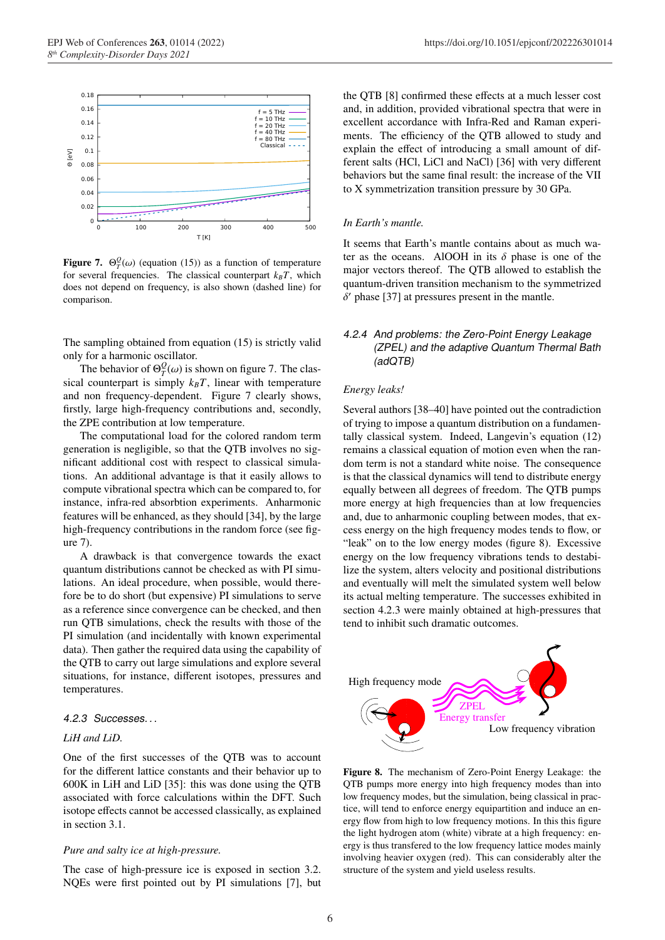

**Figure 7.**  $\Theta_T^{\mathcal{Q}}(\omega)$  (equation (15)) as a function of temperature for several frequencies. The classical counterpart  $k_B T$ , which does not depend on frequency, is also shown (dashed line) for comparison.

The sampling obtained from equation (15) is strictly valid only for a harmonic oscillator.

The behavior of  $\Theta_T^Q(\omega)$  is shown on figure 7. The classical counterpart is simply  $k_B T$ , linear with temperature and non frequency-dependent. Figure 7 clearly shows, firstly, large high-frequency contributions and, secondly, the ZPE contribution at low temperature.

The computational load for the colored random term generation is negligible, so that the QTB involves no significant additional cost with respect to classical simulations. An additional advantage is that it easily allows to compute vibrational spectra which can be compared to, for instance, infra-red absorbtion experiments. Anharmonic features will be enhanced, as they should [34], by the large high-frequency contributions in the random force (see figure 7).

A drawback is that convergence towards the exact quantum distributions cannot be checked as with PI simulations. An ideal procedure, when possible, would therefore be to do short (but expensive) PI simulations to serve as a reference since convergence can be checked, and then run QTB simulations, check the results with those of the PI simulation (and incidentally with known experimental data). Then gather the required data using the capability of the QTB to carry out large simulations and explore several situations, for instance, different isotopes, pressures and temperatures.

#### *4.2.3 Successes. . .*

#### *LiH and LiD.*

One of the first successes of the QTB was to account for the different lattice constants and their behavior up to 600K in LiH and LiD [35]: this was done using the QTB associated with force calculations within the DFT. Such isotope effects cannot be accessed classically, as explained in section 3.1.

#### *Pure and salty ice at high-pressure.*

The case of high-pressure ice is exposed in section 3.2. NQEs were first pointed out by PI simulations [7], but

the QTB [8] confirmed these effects at a much lesser cost and, in addition, provided vibrational spectra that were in excellent accordance with Infra-Red and Raman experiments. The efficiency of the QTB allowed to study and explain the effect of introducing a small amount of different salts (HCl, LiCl and NaCl) [36] with very different behaviors but the same final result: the increase of the VII to X symmetrization transition pressure by 30 GPa.

#### *In Earth's mantle.*

It seems that Earth's mantle contains about as much water as the oceans. AlOOH in its  $\delta$  phase is one of the major vectors thereof. The QTB allowed to establish the quantum-driven transition mechanism to the symmetrized  $\delta'$  phase [37] at pressures present in the mantle.

## *4.2.4 And problems: the Zero-Point Energy Leakage (ZPEL) and the adaptive Quantum Thermal Bath (adQTB)*

#### *Energy leaks!*

Several authors [38–40] have pointed out the contradiction of trying to impose a quantum distribution on a fundamentally classical system. Indeed, Langevin's equation (12) remains a classical equation of motion even when the random term is not a standard white noise. The consequence is that the classical dynamics will tend to distribute energy equally between all degrees of freedom. The QTB pumps more energy at high frequencies than at low frequencies and, due to anharmonic coupling between modes, that excess energy on the high frequency modes tends to flow, or "leak" on to the low energy modes (figure 8). Excessive energy on the low frequency vibrations tends to destabilize the system, alters velocity and positional distributions and eventually will melt the simulated system well below its actual melting temperature. The successes exhibited in section 4.2.3 were mainly obtained at high-pressures that tend to inhibit such dramatic outcomes.



Figure 8. The mechanism of Zero-Point Energy Leakage: the QTB pumps more energy into high frequency modes than into low frequency modes, but the simulation, being classical in practice, will tend to enforce energy equipartition and induce an energy flow from high to low frequency motions. In this this figure the light hydrogen atom (white) vibrate at a high frequency: energy is thus transfered to the low frequency lattice modes mainly involving heavier oxygen (red). This can considerably alter the structure of the system and yield useless results.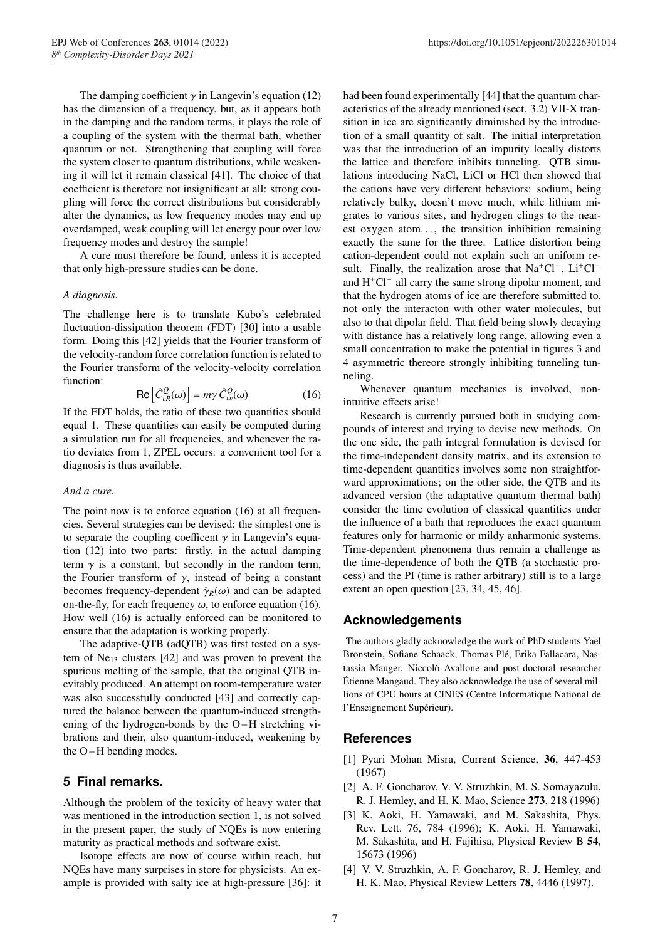The damping coefficient  $\gamma$  in Langevin's equation (12) has the dimension of a frequency, but, as it appears both in the damping and the random terms, it plays the role of a coupling of the system with the thermal bath, whether quantum or not. Strengthening that coupling will force the system closer to quantum distributions, while weakening it will let it remain classical [41]. The choice of that coefficient is therefore not insignificant at all: strong coupling will force the correct distributions but considerably alter the dynamics, as low frequency modes may end up overdamped, weak coupling will let energy pour over low frequency modes and destroy the sample!

A cure must therefore be found, unless it is accepted that only high-pressure studies can be done.

#### *A diagnosis.*

The challenge here is to translate Kubo's celebrated fluctuation-dissipation theorem (FDT) [30] into a usable form. Doing this [42] yields that the Fourier transform of the velocity-random force correlation function is related to the Fourier transform of the velocity-velocity correlation function:

$$
\text{Re}\left[\hat{C}_{vR}^{Q}(\omega)\right] = m\gamma \,\hat{C}_{vv}^{Q}(\omega) \tag{16}
$$

If the FDT holds, the ratio of these two quantities should equal 1. These quantities can easily be computed during a simulation run for all frequencies, and whenever the ratio deviates from 1, ZPEL occurs: a convenient tool for a diagnosis is thus available.

#### *And a cure.*

The point now is to enforce equation (16) at all frequencies. Several strategies can be devised: the simplest one is to separate the coupling coefficent  $\gamma$  in Langevin's equation (12) into two parts: firstly, in the actual damping term  $\gamma$  is a constant, but secondly in the random term, the Fourier transform of  $\gamma$ , instead of being a constant becomes frequency-dependent  $\hat{\gamma}_R(\omega)$  and can be adapted on-the-fly, for each frequency  $\omega$ , to enforce equation (16). How well (16) is actually enforced can be monitored to ensure that the adaptation is working properly.

The adaptive-QTB (adQTB) was first tested on a system of  $Ne_{13}$  clusters [42] and was proven to prevent the spurious melting of the sample, that the original QTB inevitably produced. An attempt on room-temperature water was also successfully conducted [43] and correctly captured the balance between the quantum-induced strengthening of the hydrogen-bonds by the O-H stretching vibrations and their, also quantum-induced, weakening by the O-H bending modes.

## **5 Final remarks.**

Although the problem of the toxicity of heavy water that was mentioned in the introduction section 1, is not solved in the present paper, the study of NQEs is now entering maturity as practical methods and software exist.

Isotope effects are now of course within reach, but NQEs have many surprises in store for physicists. An example is provided with salty ice at high-pressure [36]: it had been found experimentally [44] that the quantum characteristics of the already mentioned (sect. 3.2) VII-X transition in ice are significantly diminished by the introduction of a small quantity of salt. The initial interpretation was that the introduction of an impurity locally distorts the lattice and therefore inhibits tunneling. QTB simulations introducing NaCl, LiCl or HCl then showed that the cations have very different behaviors: sodium, being relatively bulky, doesn't move much, while lithium migrates to various sites, and hydrogen clings to the nearest oxygen atom..., the transition inhibition remaining exactly the same for the three. Lattice distortion being cation-dependent could not explain such an uniform result. Finally, the realization arose that  $Na<sup>+</sup>Cl<sup>-</sup>$ ,  $Li<sup>+</sup>Cl$ and  $H<sup>+</sup>Cl<sup>-</sup>$  all carry the same strong dipolar moment, and that the hydrogen atoms of ice are therefore submitted to, not only the interacton with other water molecules, but also to that dipolar field. That field being slowly decaying with distance has a relatively long range, allowing even a small concentration to make the potential in figures 3 and 4 asymmetric thereore strongly inhibiting tunneling tunneling.

Whenever quantum mechanics is involved, nonintuitive effects arise!

Research is currently pursued both in studying compounds of interest and trying to devise new methods. On the one side, the path integral formulation is devised for the time-independent density matrix, and its extension to time-dependent quantities involves some non straightforward approximations; on the other side, the QTB and its advanced version (the adaptative quantum thermal bath) consider the time evolution of classical quantities under the influence of a bath that reproduces the exact quantum features only for harmonic or mildy anharmonic systems. Time-dependent phenomena thus remain a challenge as the time-dependence of both the QTB (a stochastic process) and the PI (time is rather arbitrary) still is to a large extent an open question [23, 34, 45, 46].

### **Acknowledgements**

The authors gladly acknowledge the work of PhD students Yael Bronstein, Sofiane Schaack, Thomas Plé, Erika Fallacara, Nastassia Mauger, Niccolò Avallone and post-doctoral researcher Étienne Mangaud. They also acknowledge the use of several millions of CPU hours at CINES (Centre Informatique National de l'Enseignement Supérieur).

### **References**

- [1] Pyari Mohan Misra, Current Science, 36, 447-453 (1967)
- [2] A. F. Goncharov, V. V. Struzhkin, M. S. Somayazulu, R. J. Hemley, and H. K. Mao, Science 273, 218 (1996)
- [3] K. Aoki, H. Yamawaki, and M. Sakashita, Phys. Rev. Lett. 76, 784 (1996); K. Aoki, H. Yamawaki, M. Sakashita, and H. Fujihisa, Physical Review B 54, 15673 (1996)
- [4] V. V. Struzhkin, A. F. Goncharov, R. J. Hemley, and H. K. Mao, Physical Review Letters 78, 4446 (1997).